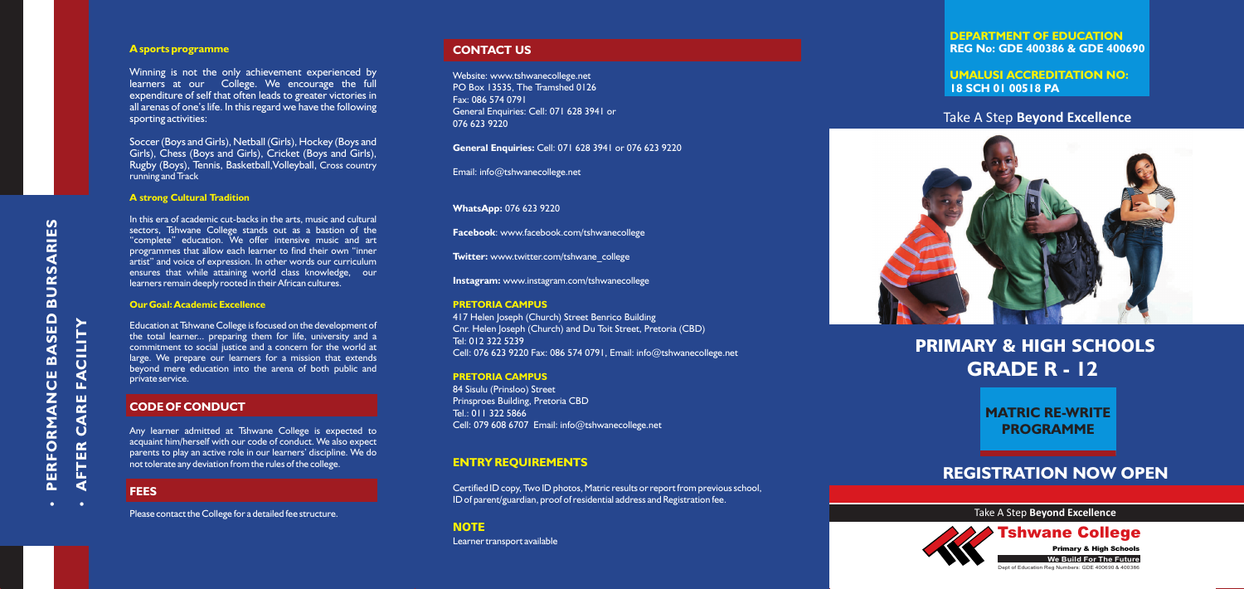# **PRIMARY & HIGH SCHOOLS GRADE R - 12**

## **REGISTRATION NOW OPEN**

## Take A Step **Beyond Excellence**



**DEPARTMENT OF EDUCATION REG No: GDE 400386 & GDE 400690**

#### **UMALUSI ACCREDITATION NO: 18 SCH 01 00518 PA**

**PROGRAMME MATRIC RE-WRITE** 

#### Take A Step **Beyond Excellence**



**We Build For The Future**

Dept of Education Reg Numbers: GDE 400690 & 400386

Tshwane College

Primary & High Schools

#### **A sports programme**

#### **A strong Cultural Tradition**

#### **Our Goal: Academic Excellence**

Winning is not the only achievement experienced by learners at our College. We encourage the full expenditure of self that often leads to greater victories in all arenas of one's life. In this regard we have the following sporting activities:

Soccer (Boys and Girls), Netball (Girls), Hockey (Boys and Girls), Chess (Boys and Girls), Cricket (Boys and Girls), Rugby (Boys), Tennis, Basketball, Volleyball, Cross country running and Track

In this era of academic cut-backs in the arts, music and cultural sectors, Tshwane College stands out as a bastion of the "complete" education. We offer intensive music and art programmes that allow each learner to find their own "inner artist" and voice of expression. In other words our curriculum ensures that while attaining world class knowledge, our learners remain deeply rooted in their African cultures.

**A RIE** <u>ທ</u>

> Education at Tshwane College is focused on the development of the total learner... preparing them for life, university and a commitment to social justice and a concern for the world at large. We prepare our learners for a mission that extends beyond mere education into the arena of both public and private service.

#### **CODE OF CONDUCT**

Any learner admitted at Tshwane College is expected to acquaint him/herself with our code of conduct. We also expect parents to play an active role in our learners' discipline. We do not tolerate any deviation from the rules of the college.

#### **FEES**

Please contact the College for a detailed fee structure.

#### **CONTACT US**

Website: www.tshwanecollege.net PO Box 13535, The Tramshed 0126 Fax: 086 574 0791 General Enquiries: Cell: 071 628 3941 or 076 623 9220

**General Enquiries:** Cell: 071 628 3941 or 076 623 9220

Email: info@tshwanecollege.net

#### **WhatsApp:** 076 623 9220

**Facebook**: www.facebook.com/tshwanecollege

**Twitter:** www.twitter.com/tshwane\_college

**Instagram:** www.instagram.com/tshwanecollege

417 Helen Joseph (Church) Street Benrico Building Cnr. Helen Joseph (Church) and Du Toit Street, Pretoria (CBD) Tel: 012 322 5239 Cell: 076 623 9220 Fax: 086 574 0791, Email: info@tshwanecollege.net

84 Sisulu (Prinsloo) Street Prinsproes Building, Pretoria CBD Tel.: 011 322 5866 Cell: 079 608 6707 Email: info@tshwanecollege.net

Certified ID copy, Two ID photos, Matric results or report from previous school, ID of parent/guardian, proof of residential address and Registration fee.

#### **NOTE**

Learner transport available

#### **PRETORIA CAMPUS**

#### **PRETORIA CAMPUS**

#### **ENTRY REQUIREMENTS**

Ÿ $\overline{\mathbf{a}}$ **ERFORMA N** $\overline{C}$ **BA** <u>ທ</u> **ED BUR**<u>ທ</u> **ER C**

Ÿ **A FT**

**A RE** 

**FA**

**CILIT**

**Y**